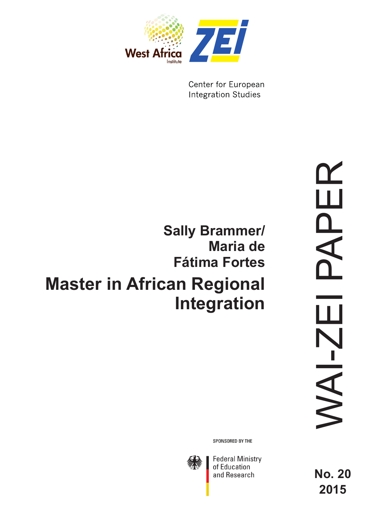

Center for European **Integration Studies** 

# **Master in African Regional Integration Sally Brammer/ Maria de Fátima Fortes**

SPONSORED BY THE



**Federal Ministry**<br>of Education and Research

**No. 20 2015**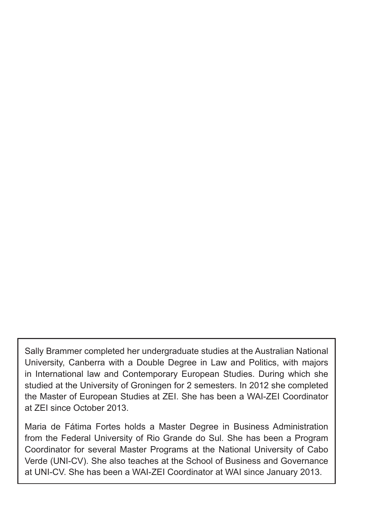Sally Brammer completed her undergraduate studies at the Australian National University, Canberra with a Double Degree in Law and Politics, with majors in International law and Contemporary European Studies. During which she studied at the University of Groningen for 2 semesters. In 2012 she completed the Master of European Studies at ZEI. She has been a WAI-ZEI Coordinator at ZEI since October 2013.

Maria de Fátima Fortes holds a Master Degree in Business Administration from the Federal University of Rio Grande do Sul. She has been a Program Coordinator for several Master Programs at the National University of Cabo Verde (UNI-CV). She also teaches at the School of Business and Governance at UNI-CV. She has been a WAI-ZEI Coordinator at WAI since January 2013.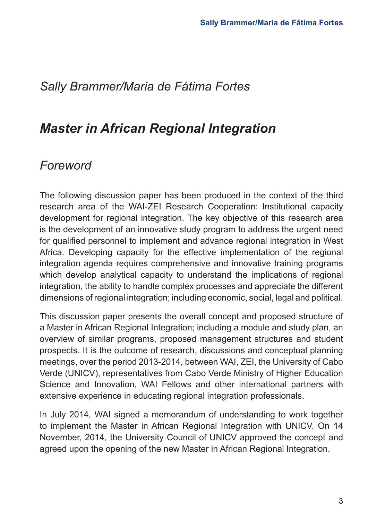# *Sally Brammer/Maria de Fátima Fortes*

# *Master in African Regional Integration*

# *Foreword*

The following discussion paper has been produced in the context of the third research area of the WAI-ZEI Research Cooperation: Institutional capacity development for regional integration. The key objective of this research area is the development of an innovative study program to address the urgent need for qualified personnel to implement and advance regional integration in West Africa. Developing capacity for the effective implementation of the regional integration agenda requires comprehensive and innovative training programs which develop analytical capacity to understand the implications of regional integration, the ability to handle complex processes and appreciate the different dimensions of regional integration; including economic, social, legal and political.

This discussion paper presents the overall concept and proposed structure of a Master in African Regional Integration; including a module and study plan, an overview of similar programs, proposed management structures and student prospects. It is the outcome of research, discussions and conceptual planning meetings, over the period 2013-2014, between WAI, ZEI, the University of Cabo Verde (UNICV), representatives from Cabo Verde Ministry of Higher Education Science and Innovation, WAI Fellows and other international partners with extensive experience in educating regional integration professionals.

In July 2014, WAI signed a memorandum of understanding to work together to implement the Master in African Regional Integration with UNICV. On 14 November, 2014, the University Council of UNICV approved the concept and agreed upon the opening of the new Master in African Regional Integration.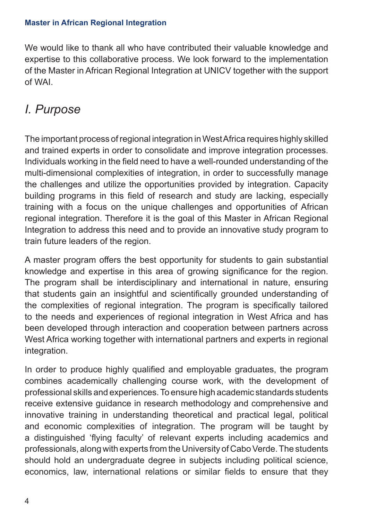We would like to thank all who have contributed their valuable knowledge and expertise to this collaborative process. We look forward to the implementation of the Master in African Regional Integration at UNICV together with the support of WAI.

# *I. Purpose*

The important process of regional integration in West Africa requires highly skilled and trained experts in order to consolidate and improve integration processes. Individuals working in the field need to have a well-rounded understanding of the multi-dimensional complexities of integration, in order to successfully manage the challenges and utilize the opportunities provided by integration. Capacity building programs in this field of research and study are lacking, especially training with a focus on the unique challenges and opportunities of African regional integration. Therefore it is the goal of this Master in African Regional Integration to address this need and to provide an innovative study program to train future leaders of the region.

A master program offers the best opportunity for students to gain substantial knowledge and expertise in this area of growing significance for the region. The program shall be interdisciplinary and international in nature, ensuring that students gain an insightful and scientifically grounded understanding of the complexities of regional integration. The program is specifically tailored to the needs and experiences of regional integration in West Africa and has been developed through interaction and cooperation between partners across West Africa working together with international partners and experts in regional integration.

In order to produce highly qualified and employable graduates, the program combines academically challenging course work, with the development of professional skills and experiences. To ensure high academic standards students receive extensive guidance in research methodology and comprehensive and innovative training in understanding theoretical and practical legal, political and economic complexities of integration. The program will be taught by a distinguished 'flying faculty' of relevant experts including academics and professionals, along with experts from the University of Cabo Verde. The students should hold an undergraduate degree in subjects including political science, economics, law, international relations or similar fields to ensure that they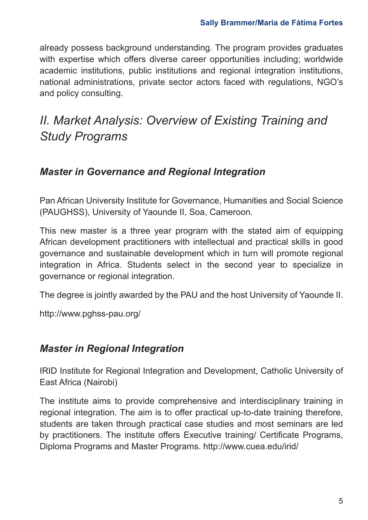already possess background understanding. The program provides graduates with expertise which offers diverse career opportunities including; worldwide academic institutions, public institutions and regional integration institutions, national administrations, private sector actors faced with regulations, NGO's and policy consulting.

# *II. Market Analysis: Overview of Existing Training and Study Programs*

#### *Master in Governance and Regional Integration*

Pan African University Institute for Governance, Humanities and Social Science (PAUGHSS), University of Yaounde II, Soa, Cameroon.

This new master is a three year program with the stated aim of equipping African development practitioners with intellectual and practical skills in good governance and sustainable development which in turn will promote regional integration in Africa. Students select in the second year to specialize in governance or regional integration.

The degree is jointly awarded by the PAU and the host University of Yaounde II.

http://www.pghss-pau.org/

#### *Master in Regional Integration*

IRID Institute for Regional Integration and Development, Catholic University of East Africa (Nairobi)

The institute aims to provide comprehensive and interdisciplinary training in regional integration. The aim is to offer practical up-to-date training therefore, students are taken through practical case studies and most seminars are led by practitioners. The institute offers Executive training/ Certificate Programs, Diploma Programs and Master Programs. http://www.cuea.edu/irid/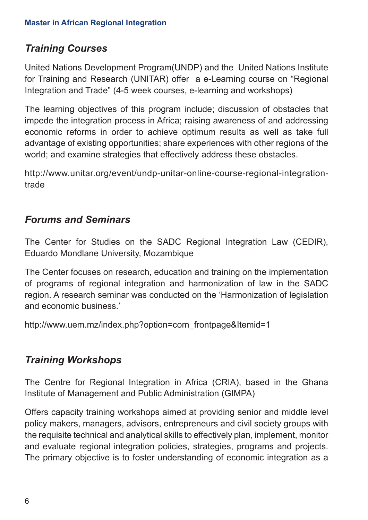## *Training Courses*

United Nations Development Program(UNDP) and the United Nations Institute for Training and Research (UNITAR) offer a e-Learning course on "Regional Integration and Trade" (4-5 week courses, e-learning and workshops)

The learning objectives of this program include; discussion of obstacles that impede the integration process in Africa; raising awareness of and addressing economic reforms in order to achieve optimum results as well as take full advantage of existing opportunities; share experiences with other regions of the world; and examine strategies that effectively address these obstacles.

http://www.unitar.org/event/undp-unitar-online-course-regional-integrationtrade

### *Forums and Seminars*

The Center for Studies on the SADC Regional Integration Law (CEDIR), Eduardo Mondlane University, Mozambique

The Center focuses on research, education and training on the implementation of programs of regional integration and harmonization of law in the SADC region. A research seminar was conducted on the 'Harmonization of legislation and economic business.'

http://www.uem.mz/index.php?option=com\_frontpage&Itemid=1

### *Training Workshops*

The Centre for Regional Integration in Africa (CRIA), based in the Ghana Institute of Management and Public Administration (GIMPA)

Offers capacity training workshops aimed at providing senior and middle level policy makers, managers, advisors, entrepreneurs and civil society groups with the requisite technical and analytical skills to effectively plan, implement, monitor and evaluate regional integration policies, strategies, programs and projects. The primary objective is to foster understanding of economic integration as a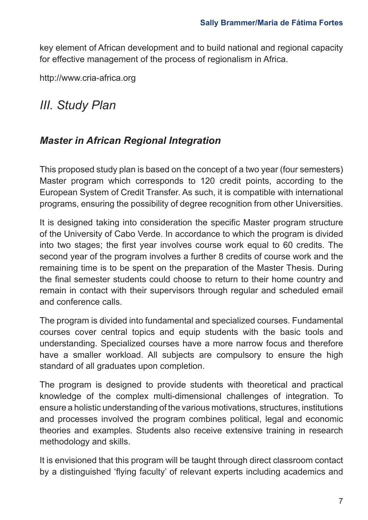key element of African development and to build national and regional capacity for effective management of the process of regionalism in Africa.

http://www.cria-africa.org

# *III. Study Plan*

### *Master in African Regional Integration*

This proposed study plan is based on the concept of a two year (four semesters) Master program which corresponds to 120 credit points, according to the European System of Credit Transfer. As such, it is compatible with international programs, ensuring the possibility of degree recognition from other Universities.

It is designed taking into consideration the specific Master program structure of the University of Cabo Verde. In accordance to which the program is divided into two stages; the first year involves course work equal to 60 credits. The second year of the program involves a further 8 credits of course work and the remaining time is to be spent on the preparation of the Master Thesis. During the final semester students could choose to return to their home country and remain in contact with their supervisors through regular and scheduled email and conference calls.

The program is divided into fundamental and specialized courses. Fundamental courses cover central topics and equip students with the basic tools and understanding. Specialized courses have a more narrow focus and therefore have a smaller workload. All subjects are compulsory to ensure the high standard of all graduates upon completion.

The program is designed to provide students with theoretical and practical knowledge of the complex multi-dimensional challenges of integration. To ensure a holistic understanding of the various motivations, structures, institutions and processes involved the program combines political, legal and economic theories and examples. Students also receive extensive training in research methodology and skills.

It is envisioned that this program will be taught through direct classroom contact by a distinguished 'flying faculty' of relevant experts including academics and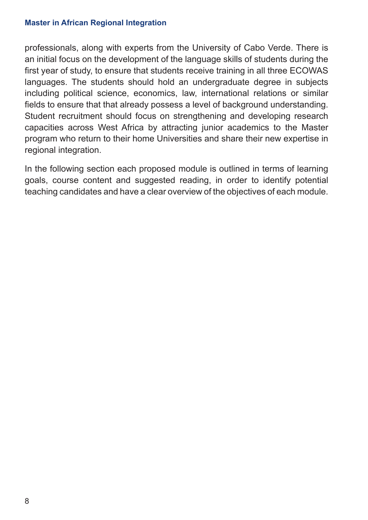professionals, along with experts from the University of Cabo Verde. There is an initial focus on the development of the language skills of students during the first year of study, to ensure that students receive training in all three ECOWAS languages. The students should hold an undergraduate degree in subjects including political science, economics, law, international relations or similar fields to ensure that that already possess a level of background understanding. Student recruitment should focus on strengthening and developing research capacities across West Africa by attracting junior academics to the Master program who return to their home Universities and share their new expertise in regional integration.

In the following section each proposed module is outlined in terms of learning goals, course content and suggested reading, in order to identify potential teaching candidates and have a clear overview of the objectives of each module.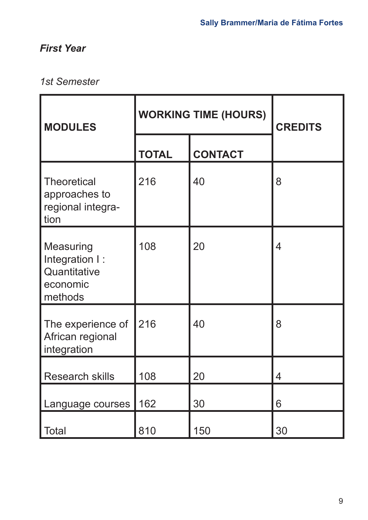## *First Year*

## *1st Semester*

| <b>MODULES</b>                                                     | <b>WORKING TIME (HOURS)</b> |                | <b>CREDITS</b> |
|--------------------------------------------------------------------|-----------------------------|----------------|----------------|
|                                                                    | <b>TOTAL</b>                | <b>CONTACT</b> |                |
| <b>Theoretical</b><br>approaches to<br>regional integra-<br>tion   | 216                         | 40             | 8              |
| Measuring<br>Integration I:<br>Quantitative<br>economic<br>methods | 108                         | 20             | 4              |
| The experience of<br>African regional<br>integration               | 216                         | 40             | 8              |
| <b>Research skills</b>                                             | 108                         | 20             | 4              |
| Language courses                                                   | 162                         | 30             | 6              |
| Total                                                              | 810                         | 150            | 30             |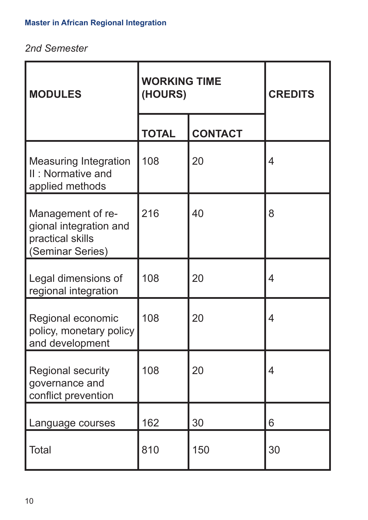## *2nd Semester*

| <b>MODULES</b>                                                                      | <b>WORKING TIME</b><br>(HOURS) |                | <b>CREDITS</b> |
|-------------------------------------------------------------------------------------|--------------------------------|----------------|----------------|
|                                                                                     | <b>TOTAL</b>                   | <b>CONTACT</b> |                |
| <b>Measuring Integration</b><br>II: Normative and<br>applied methods                | 108                            | 20             | 4              |
| Management of re-<br>gional integration and<br>practical skills<br>(Seminar Series) | 216                            | 40             | 8              |
| Legal dimensions of<br>regional integration                                         | 108                            | 20             | 4              |
| Regional economic<br>policy, monetary policy<br>and development                     | 108                            | 20             | 4              |
| <b>Regional security</b><br>governance and<br>conflict prevention                   | 108                            | 20             | 4              |
| Language courses                                                                    | 162                            | 30             | 6              |
| Total                                                                               | 810                            | 150            | 30             |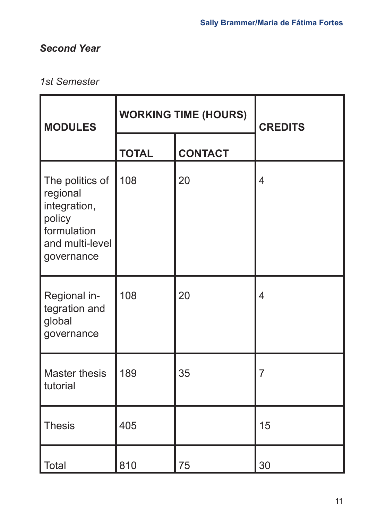## *Second Year*

## *1st Semester*

| <b>MODULES</b>                                                                                        |              | <b>WORKING TIME (HOURS)</b> | <b>CREDITS</b> |  |
|-------------------------------------------------------------------------------------------------------|--------------|-----------------------------|----------------|--|
|                                                                                                       | <b>TOTAL</b> | <b>CONTACT</b>              |                |  |
| The politics of<br>regional<br>integration,<br>policy<br>formulation<br>and multi-level<br>governance | 108          | 20                          | $\overline{4}$ |  |
| Regional in-<br>tegration and<br>global<br>governance                                                 | 108          | 20                          | $\overline{4}$ |  |
| Master thesis<br>tutorial                                                                             | 189          | 35                          | $\overline{7}$ |  |
| <b>Thesis</b>                                                                                         | 405          |                             | 15             |  |
| Total                                                                                                 | 810          | 75                          | 30             |  |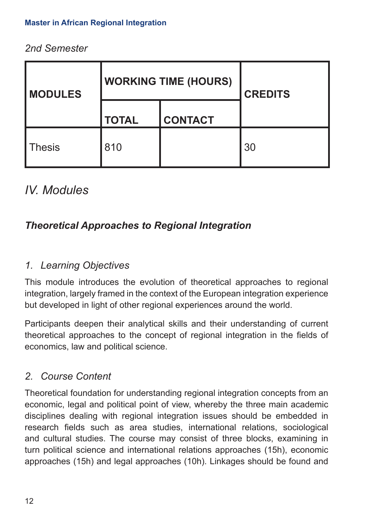### *2nd Semester*

| <b>MODULES</b> |              | <b>WORKING TIME (HOURS)</b> | <b>CREDITS</b> |
|----------------|--------------|-----------------------------|----------------|
|                | <b>TOTAL</b> | <b>CONTACT</b>              |                |
| <b>Thesis</b>  | 810          |                             | 30             |

# *IV. Modules*

## *Theoretical Approaches to Regional Integration*

### *1. Learning Objectives*

This module introduces the evolution of theoretical approaches to regional integration, largely framed in the context of the European integration experience but developed in light of other regional experiences around the world.

Participants deepen their analytical skills and their understanding of current theoretical approaches to the concept of regional integration in the fields of economics, law and political science.

### *2. Course Content*

Theoretical foundation for understanding regional integration concepts from an economic, legal and political point of view, whereby the three main academic disciplines dealing with regional integration issues should be embedded in research fields such as area studies, international relations, sociological and cultural studies. The course may consist of three blocks, examining in turn political science and international relations approaches (15h), economic approaches (15h) and legal approaches (10h). Linkages should be found and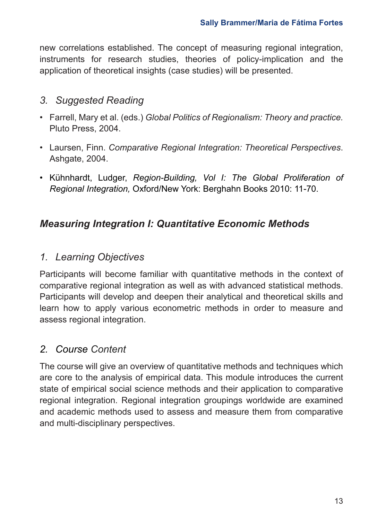new correlations established. The concept of measuring regional integration, instruments for research studies, theories of policy-implication and the application of theoretical insights (case studies) will be presented.

### *3. Suggested Reading*

- Farrell, Mary et al. (eds.) *Global Politics of Regionalism: Theory and practice.*  Pluto Press, 2004.
- Laursen, Finn. *Comparative Regional Integration: Theoretical Perspectives*. Ashgate, 2004.
- Kühnhardt, Ludger, *Region-Building, Vol I: The Global Proliferation of Regional Integration,* Oxford/New York: Berghahn Books 2010: 11-70.

## *Measuring Integration I: Quantitative Economic Methods*

### *1. Learning Objectives*

Participants will become familiar with quantitative methods in the context of comparative regional integration as well as with advanced statistical methods. Participants will develop and deepen their analytical and theoretical skills and learn how to apply various econometric methods in order to measure and assess regional integration.

## *2. Course Content*

The course will give an overview of quantitative methods and techniques which are core to the analysis of empirical data. This module introduces the current state of empirical social science methods and their application to comparative regional integration. Regional integration groupings worldwide are examined and academic methods used to assess and measure them from comparative and multi-disciplinary perspectives.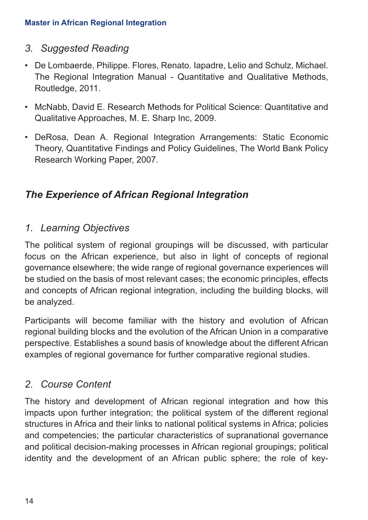#### *3. Suggested Reading*

- De Lombaerde, Philippe. Flores, Renato. Iapadre, Lelio and Schulz, Michael. The Regional Integration Manual - Quantitative and Qualitative Methods, Routledge, 2011.
- McNabb, David E. Research Methods for Political Science: Quantitative and Qualitative Approaches, M. E. Sharp Inc, 2009.
- DeRosa, Dean A. Regional Integration Arrangements: Static Economic Theory, Quantitative Findings and Policy Guidelines, The World Bank Policy Research Working Paper, 2007.

## *The Experience of African Regional Integration*

#### *1. Learning Objectives*

The political system of regional groupings will be discussed, with particular focus on the African experience, but also in light of concepts of regional governance elsewhere; the wide range of regional governance experiences will be studied on the basis of most relevant cases; the economic principles, effects and concepts of African regional integration, including the building blocks, will be analyzed.

Participants will become familiar with the history and evolution of African regional building blocks and the evolution of the African Union in a comparative perspective. Establishes a sound basis of knowledge about the different African examples of regional governance for further comparative regional studies.

### *2. Course Content*

The history and development of African regional integration and how this impacts upon further integration; the political system of the different regional structures in Africa and their links to national political systems in Africa; policies and competencies; the particular characteristics of supranational governance and political decision-making processes in African regional groupings; political identity and the development of an African public sphere; the role of key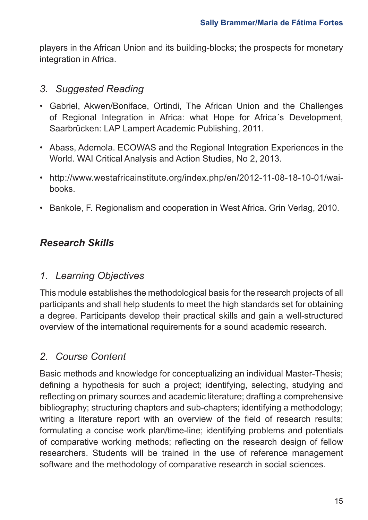players in the African Union and its building-blocks; the prospects for monetary integration in Africa.

### *3. Suggested Reading*

- Gabriel, Akwen/Boniface, Ortindi, The African Union and the Challenges of Regional Integration in Africa: what Hope for Africa´s Development, Saarbrücken: LAP Lampert Academic Publishing, 2011.
- Abass, Ademola. ECOWAS and the Regional Integration Experiences in the World. WAI Critical Analysis and Action Studies, No 2, 2013.
- http://www.westafricainstitute.org/index.php/en/2012-11-08-18-10-01/waibooks.
- Bankole, F. Regionalism and cooperation in West Africa. Grin Verlag, 2010.

## *Research Skills*

### *1. Learning Objectives*

This module establishes the methodological basis for the research projects of all participants and shall help students to meet the high standards set for obtaining a degree. Participants develop their practical skills and gain a well-structured overview of the international requirements for a sound academic research.

### *2. Course Content*

Basic methods and knowledge for conceptualizing an individual Master-Thesis; defining a hypothesis for such a project; identifying, selecting, studying and reflecting on primary sources and academic literature; drafting a comprehensive bibliography; structuring chapters and sub-chapters; identifying a methodology; writing a literature report with an overview of the field of research results; formulating a concise work plan/time-line; identifying problems and potentials of comparative working methods; reflecting on the research design of fellow researchers. Students will be trained in the use of reference management software and the methodology of comparative research in social sciences.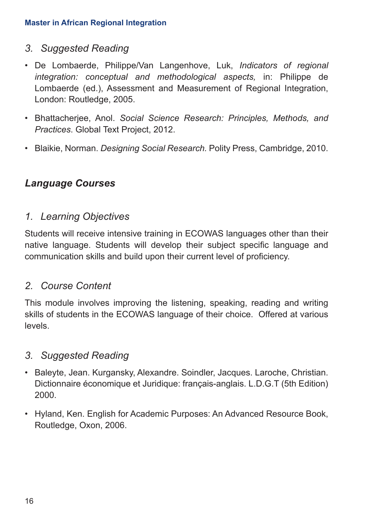#### *3. Suggested Reading*

- De Lombaerde, Philippe/Van Langenhove, Luk, *Indicators of regional integration: conceptual and methodological aspects,* in: Philippe de Lombaerde (ed.), Assessment and Measurement of Regional Integration, London: Routledge, 2005.
- Bhattacherjee, Anol. *Social Science Research: Principles, Methods, and Practices*. Global Text Project, 2012.
- Blaikie, Norman. *Designing Social Research.* Polity Press, Cambridge, 2010.

### *Language Courses*

#### *1. Learning Objectives*

Students will receive intensive training in ECOWAS languages other than their native language. Students will develop their subject specific language and communication skills and build upon their current level of proficiency.

#### *2. Course Content*

This module involves improving the listening, speaking, reading and writing skills of students in the ECOWAS language of their choice. Offered at various levels.

#### *3. Suggested Reading*

- Baleyte, Jean. Kurgansky, Alexandre. Soindler, Jacques. Laroche, Christian. Dictionnaire économique et Juridique: français-anglais. L.D.G.T (5th Edition) 2000.
- Hyland, Ken. English for Academic Purposes: An Advanced Resource Book, Routledge, Oxon, 2006.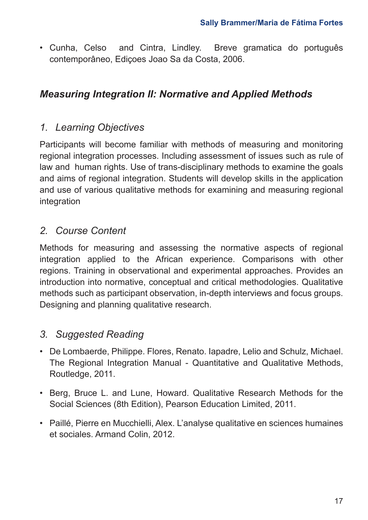• Cunha, Celso and Cintra, Lindley. Breve gramatica do português contemporâneo, Ediçoes Joao Sa da Costa, 2006.

### *Measuring Integration II: Normative and Applied Methods*

### *1. Learning Objectives*

Participants will become familiar with methods of measuring and monitoring regional integration processes. Including assessment of issues such as rule of law and human rights. Use of trans-disciplinary methods to examine the goals and aims of regional integration. Students will develop skills in the application and use of various qualitative methods for examining and measuring regional integration

### *2. Course Content*

Methods for measuring and assessing the normative aspects of regional integration applied to the African experience. Comparisons with other regions. Training in observational and experimental approaches. Provides an introduction into normative, conceptual and critical methodologies. Qualitative methods such as participant observation, in-depth interviews and focus groups. Designing and planning qualitative research.

### *3. Suggested Reading*

- De Lombaerde, Philippe. Flores, Renato. Iapadre, Lelio and Schulz, Michael. The Regional Integration Manual - Quantitative and Qualitative Methods, Routledge, 2011.
- Berg, Bruce L. and Lune, Howard. Qualitative Research Methods for the Social Sciences (8th Edition), Pearson Education Limited, 2011.
- Paillé, Pierre en Mucchielli, Alex. L'analyse qualitative en sciences humaines et sociales. Armand Colin, 2012.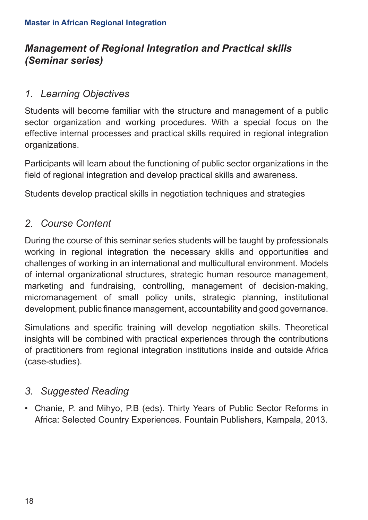## *Management of Regional Integration and Practical skills (Seminar series)*

#### *1. Learning Objectives*

Students will become familiar with the structure and management of a public sector organization and working procedures. With a special focus on the effective internal processes and practical skills required in regional integration organizations.

Participants will learn about the functioning of public sector organizations in the field of regional integration and develop practical skills and awareness.

Students develop practical skills in negotiation techniques and strategies

### *2. Course Content*

During the course of this seminar series students will be taught by professionals working in regional integration the necessary skills and opportunities and challenges of working in an international and multicultural environment. Models of internal organizational structures, strategic human resource management, marketing and fundraising, controlling, management of decision-making, micromanagement of small policy units, strategic planning, institutional development, public finance management, accountability and good governance.

Simulations and specific training will develop negotiation skills. Theoretical insights will be combined with practical experiences through the contributions of practitioners from regional integration institutions inside and outside Africa (case-studies).

### *3. Suggested Reading*

• Chanie, P. and Mihyo, P.B (eds). Thirty Years of Public Sector Reforms in Africa: Selected Country Experiences. Fountain Publishers, Kampala, 2013.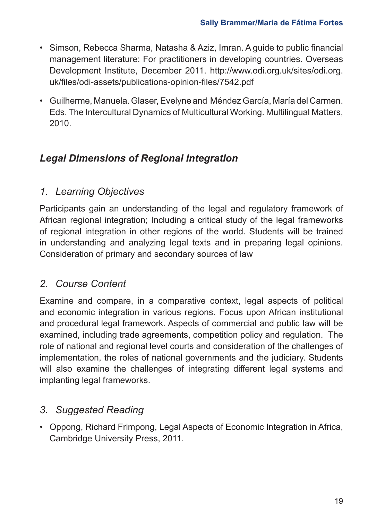- Simson, Rebecca Sharma, Natasha & Aziz, Imran. A guide to public financial management literature: For practitioners in developing countries. Overseas Development Institute, December 2011. http://www.odi.org.uk/sites/odi.org. uk/files/odi-assets/publications-opinion-files/7542.pdf
- Guilherme, Manuela. Glaser, Evelyne and Méndez García, María del Carmen. Eds. The Intercultural Dynamics of Multicultural Working. Multilingual Matters, 2010.

## *Legal Dimensions of Regional Integration*

### *1. Learning Objectives*

Participants gain an understanding of the legal and regulatory framework of African regional integration; Including a critical study of the legal frameworks of regional integration in other regions of the world. Students will be trained in understanding and analyzing legal texts and in preparing legal opinions. Consideration of primary and secondary sources of law

### *2. Course Content*

Examine and compare, in a comparative context, legal aspects of political and economic integration in various regions. Focus upon African institutional and procedural legal framework. Aspects of commercial and public law will be examined, including trade agreements, competition policy and regulation. The role of national and regional level courts and consideration of the challenges of implementation, the roles of national governments and the judiciary. Students will also examine the challenges of integrating different legal systems and implanting legal frameworks.

### *3. Suggested Reading*

• Oppong, Richard Frimpong, Legal Aspects of Economic Integration in Africa, Cambridge University Press, 2011.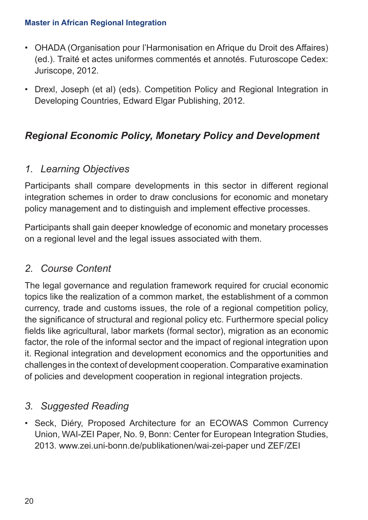- OHADA (Organisation pour l'Harmonisation en Afrique du Droit des Affaires) (ed.). Traité et actes uniformes commentés et annotés. Futuroscope Cedex: Juriscope, 2012.
- Drexl, Joseph (et al) (eds). Competition Policy and Regional Integration in Developing Countries, Edward Elgar Publishing, 2012.

### *Regional Economic Policy, Monetary Policy and Development*

### *1. Learning Objectives*

Participants shall compare developments in this sector in different regional integration schemes in order to draw conclusions for economic and monetary policy management and to distinguish and implement effective processes.

Participants shall gain deeper knowledge of economic and monetary processes on a regional level and the legal issues associated with them.

### *2. Course Content*

The legal governance and regulation framework required for crucial economic topics like the realization of a common market, the establishment of a common currency, trade and customs issues, the role of a regional competition policy, the significance of structural and regional policy etc. Furthermore special policy fields like agricultural, labor markets (formal sector), migration as an economic factor, the role of the informal sector and the impact of regional integration upon it. Regional integration and development economics and the opportunities and challenges in the context of development cooperation. Comparative examination of policies and development cooperation in regional integration projects.

#### *3. Suggested Reading*

• Seck, Diéry, Proposed Architecture for an ECOWAS Common Currency Union, WAI-ZEI Paper, No. 9, Bonn: Center for European Integration Studies, 2013. www.zei.uni-bonn.de/publikationen/wai-zei-paper und ZEF/ZEI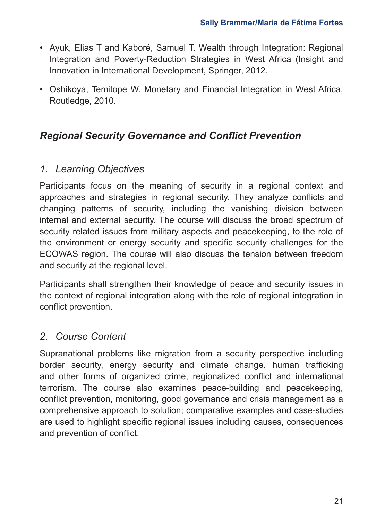- Ayuk, Elias T and Kaboré, Samuel T. Wealth through Integration: Regional Integration and Poverty-Reduction Strategies in West Africa (Insight and Innovation in International Development, Springer, 2012.
- Oshikoya, Temitope W. Monetary and Financial Integration in West Africa, Routledge, 2010.

### *Regional Security Governance and Conflict Prevention*

### *1. Learning Objectives*

Participants focus on the meaning of security in a regional context and approaches and strategies in regional security. They analyze conflicts and changing patterns of security, including the vanishing division between internal and external security. The course will discuss the broad spectrum of security related issues from military aspects and peacekeeping, to the role of the environment or energy security and specific security challenges for the ECOWAS region. The course will also discuss the tension between freedom and security at the regional level.

Participants shall strengthen their knowledge of peace and security issues in the context of regional integration along with the role of regional integration in conflict prevention.

### *2. Course Content*

Supranational problems like migration from a security perspective including border security, energy security and climate change, human trafficking and other forms of organized crime, regionalized conflict and international terrorism. The course also examines peace-building and peacekeeping, conflict prevention, monitoring, good governance and crisis management as a comprehensive approach to solution; comparative examples and case-studies are used to highlight specific regional issues including causes, consequences and prevention of conflict.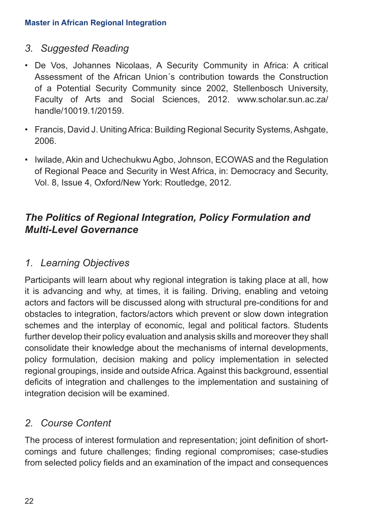#### *3. Suggested Reading*

- De Vos, Johannes Nicolaas, A Security Community in Africa: A critical Assessment of the African Union´s contribution towards the Construction of a Potential Security Community since 2002, Stellenbosch University, Faculty of Arts and Social Sciences, 2012. www.scholar.sun.ac.za/ handle/10019.1/20159.
- Francis, David J. Uniting Africa: Building Regional Security Systems, Ashgate, 2006.
- Iwilade, Akin and Uchechukwu Agbo, Johnson, ECOWAS and the Regulation of Regional Peace and Security in West Africa, in: Democracy and Security, Vol. 8, Issue 4, Oxford/New York: Routledge, 2012.

### *The Politics of Regional Integration, Policy Formulation and Multi-Level Governance*

### *1. Learning Objectives*

Participants will learn about why regional integration is taking place at all, how it is advancing and why, at times, it is failing. Driving, enabling and vetoing actors and factors will be discussed along with structural pre-conditions for and obstacles to integration, factors/actors which prevent or slow down integration schemes and the interplay of economic, legal and political factors. Students further develop their policy evaluation and analysis skills and moreover they shall consolidate their knowledge about the mechanisms of internal developments, policy formulation, decision making and policy implementation in selected regional groupings, inside and outside Africa. Against this background, essential deficits of integration and challenges to the implementation and sustaining of integration decision will be examined.

### *2. Course Content*

The process of interest formulation and representation; joint definition of shortcomings and future challenges; finding regional compromises; case-studies from selected policy fields and an examination of the impact and consequences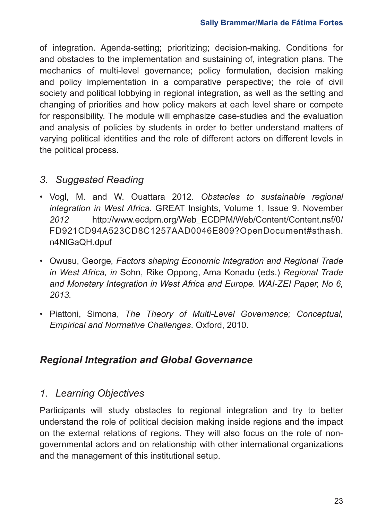of integration. Agenda-setting; prioritizing; decision-making. Conditions for and obstacles to the implementation and sustaining of, integration plans. The mechanics of multi-level governance; policy formulation, decision making and policy implementation in a comparative perspective; the role of civil society and political lobbying in regional integration, as well as the setting and changing of priorities and how policy makers at each level share or compete for responsibility. The module will emphasize case-studies and the evaluation and analysis of policies by students in order to better understand matters of varying political identities and the role of different actors on different levels in the political process.

### *3. Suggested Reading*

- Vogl, M. and W. Ouattara 2012. *Obstacles to sustainable regional integration in West Africa.* GREAT Insights, Volume 1, Issue 9. November *2012* http://www.ecdpm.org/Web\_ECDPM/Web/Content/Content.nsf/0/ FD921CD94A523CD8C1257AAD0046E809?OpenDocument#sthash. n4NlGaQH.dpuf
- Owusu, George*, Factors shaping Economic Integration and Regional Trade in West Africa, in* Sohn, Rike Oppong, Ama Konadu (eds.) *Regional Trade and Monetary Integration in West Africa and Europe. WAI-ZEI Paper, No 6, 2013.*
- Piattoni, Simona, *The Theory of Multi-Level Governance; Conceptual, Empirical and Normative Challenges*. Oxford, 2010.

### *Regional Integration and Global Governance*

### *1. Learning Objectives*

Participants will study obstacles to regional integration and try to better understand the role of political decision making inside regions and the impact on the external relations of regions. They will also focus on the role of nongovernmental actors and on relationship with other international organizations and the management of this institutional setup.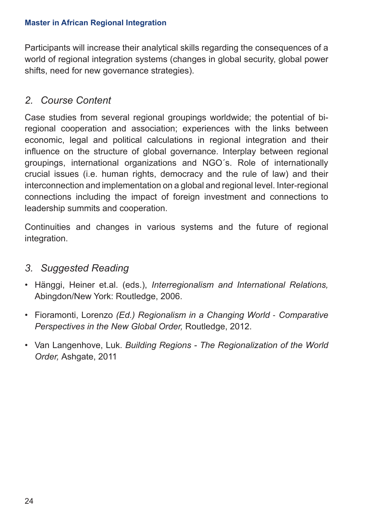Participants will increase their analytical skills regarding the consequences of a world of regional integration systems (changes in global security, global power shifts, need for new governance strategies).

### *2. Course Content*

Case studies from several regional groupings worldwide; the potential of biregional cooperation and association; experiences with the links between economic, legal and political calculations in regional integration and their influence on the structure of global governance. Interplay between regional groupings, international organizations and NGO´s. Role of internationally crucial issues (i.e. human rights, democracy and the rule of law) and their interconnection and implementation on a global and regional level. Inter-regional connections including the impact of foreign investment and connections to leadership summits and cooperation.

Continuities and changes in various systems and the future of regional integration.

#### *3. Suggested Reading*

- Hänggi, Heiner et.al. (eds.), *Interregionalism and International Relations,* Abingdon/New York: Routledge, 2006.
- Fioramonti, Lorenzo *(Ed.) Regionalism in a Changing World* ‐ *Comparative Perspectives in the New Global Order,* Routledge, 2012.
- Van Langenhove, Luk. *Building Regions The Regionalization of the World Order,* Ashgate, 2011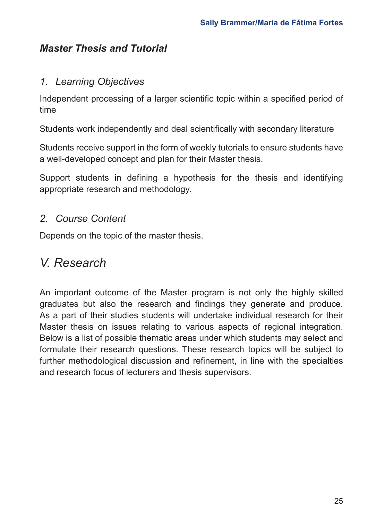### *Master Thesis and Tutorial*

#### *1. Learning Objectives*

Independent processing of a larger scientific topic within a specified period of time

Students work independently and deal scientifically with secondary literature

Students receive support in the form of weekly tutorials to ensure students have a well-developed concept and plan for their Master thesis.

Support students in defining a hypothesis for the thesis and identifying appropriate research and methodology.

#### *2. Course Content*

Depends on the topic of the master thesis.

# *V. Research*

An important outcome of the Master program is not only the highly skilled graduates but also the research and findings they generate and produce. As a part of their studies students will undertake individual research for their Master thesis on issues relating to various aspects of regional integration. Below is a list of possible thematic areas under which students may select and formulate their research questions. These research topics will be subject to further methodological discussion and refinement, in line with the specialties and research focus of lecturers and thesis supervisors.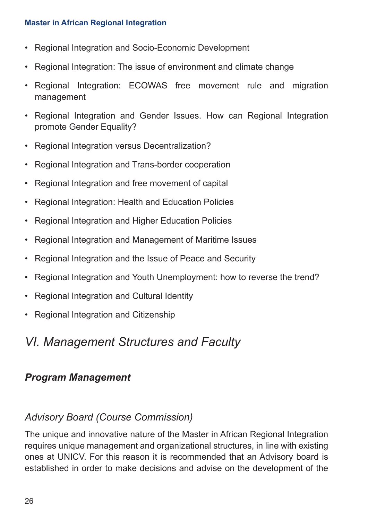- Regional Integration and Socio-Economic Development
- Regional Integration: The issue of environment and climate change
- Regional Integration: ECOWAS free movement rule and migration management
- Regional Integration and Gender Issues. How can Regional Integration promote Gender Equality?
- Regional Integration versus Decentralization?
- Regional Integration and Trans-border cooperation
- Regional Integration and free movement of capital
- Regional Integration: Health and Education Policies
- Regional Integration and Higher Education Policies
- Regional Integration and Management of Maritime Issues
- Regional Integration and the Issue of Peace and Security
- Regional Integration and Youth Unemployment: how to reverse the trend?
- Regional Integration and Cultural Identity
- Regional Integration and Citizenship

# *VI. Management Structures and Faculty*

#### *Program Management*

### *Advisory Board (Course Commission)*

The unique and innovative nature of the Master in African Regional Integration requires unique management and organizational structures, in line with existing ones at UNICV. For this reason it is recommended that an Advisory board is established in order to make decisions and advise on the development of the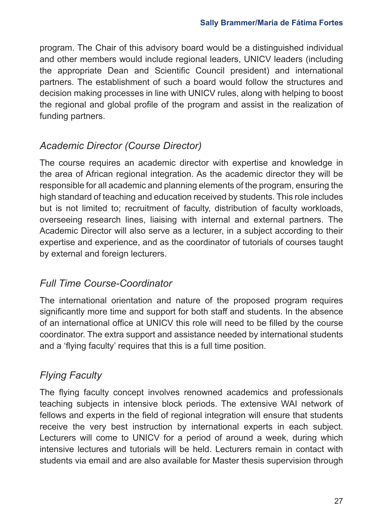program. The Chair of this advisory board would be a distinguished individual and other members would include regional leaders, UNICV leaders (including the appropriate Dean and Scientific Council president) and international partners. The establishment of such a board would follow the structures and decision making processes in line with UNICV rules, along with helping to boost the regional and global profile of the program and assist in the realization of funding partners.

## *Academic Director (Course Director)*

The course requires an academic director with expertise and knowledge in the area of African regional integration. As the academic director they will be responsible for all academic and planning elements of the program, ensuring the high standard of teaching and education received by students. This role includes but is not limited to; recruitment of faculty, distribution of faculty workloads, overseeing research lines, liaising with internal and external partners. The Academic Director will also serve as a lecturer, in a subject according to their expertise and experience, and as the coordinator of tutorials of courses taught by external and foreign lecturers.

### *Full Time Course-Coordinator*

The international orientation and nature of the proposed program requires significantly more time and support for both staff and students. In the absence of an international office at UNICV this role will need to be filled by the course coordinator. The extra support and assistance needed by international students and a 'flying faculty' requires that this is a full time position.

# *Flying Faculty*

The flying faculty concept involves renowned academics and professionals teaching subjects in intensive block periods. The extensive WAI network of fellows and experts in the field of regional integration will ensure that students receive the very best instruction by international experts in each subject. Lecturers will come to UNICV for a period of around a week, during which intensive lectures and tutorials will be held. Lecturers remain in contact with students via email and are also available for Master thesis supervision through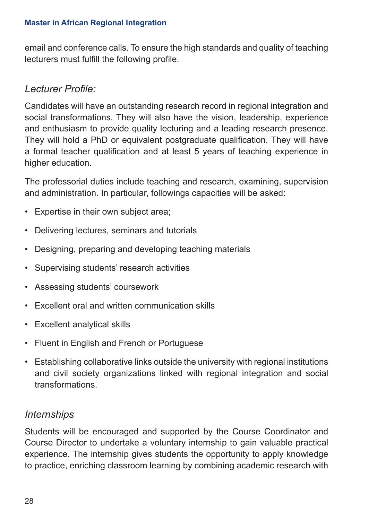email and conference calls. To ensure the high standards and quality of teaching lecturers must fulfill the following profile.

#### *Lecturer Profile:*

Candidates will have an outstanding research record in regional integration and social transformations. They will also have the vision, leadership, experience and enthusiasm to provide quality lecturing and a leading research presence. They will hold a PhD or equivalent postgraduate qualification. They will have a formal teacher qualification and at least 5 years of teaching experience in higher education.

The professorial duties include teaching and research, examining, supervision and administration. In particular, followings capacities will be asked:

- Expertise in their own subject area;
- Delivering lectures, seminars and tutorials
- Designing, preparing and developing teaching materials
- Supervising students' research activities
- Assessing students' coursework
- Excellent oral and written communication skills
- Excellent analytical skills
- Fluent in English and French or Portuguese
- Establishing collaborative links outside the university with regional institutions and civil society organizations linked with regional integration and social transformations.

#### *Internships*

Students will be encouraged and supported by the Course Coordinator and Course Director to undertake a voluntary internship to gain valuable practical experience. The internship gives students the opportunity to apply knowledge to practice, enriching classroom learning by combining academic research with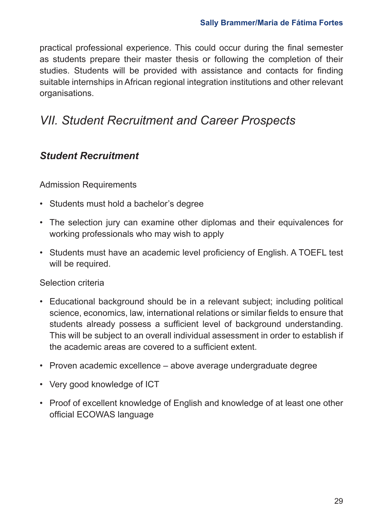practical professional experience. This could occur during the final semester as students prepare their master thesis or following the completion of their studies. Students will be provided with assistance and contacts for finding suitable internships in African regional integration institutions and other relevant organisations.

# *VII. Student Recruitment and Career Prospects*

### *Student Recruitment*

Admission Requirements

- Students must hold a bachelor's degree
- The selection jury can examine other diplomas and their equivalences for working professionals who may wish to apply
- Students must have an academic level proficiency of English. A TOEFL test will be required.

Selection criteria

- Educational background should be in a relevant subject; including political science, economics, law, international relations or similar fields to ensure that students already possess a sufficient level of background understanding. This will be subject to an overall individual assessment in order to establish if the academic areas are covered to a sufficient extent.
- Proven academic excellence above average undergraduate degree
- Very good knowledge of ICT
- Proof of excellent knowledge of English and knowledge of at least one other official ECOWAS language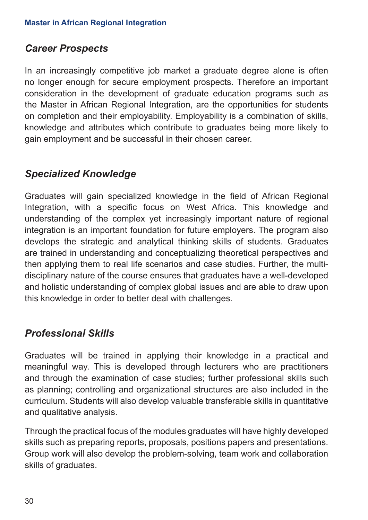#### *Career Prospects*

In an increasingly competitive job market a graduate degree alone is often no longer enough for secure employment prospects. Therefore an important consideration in the development of graduate education programs such as the Master in African Regional Integration, are the opportunities for students on completion and their employability. Employability is a combination of skills, knowledge and attributes which contribute to graduates being more likely to gain employment and be successful in their chosen career.

#### *Specialized Knowledge*

Graduates will gain specialized knowledge in the field of African Regional Integration, with a specific focus on West Africa. This knowledge and understanding of the complex yet increasingly important nature of regional integration is an important foundation for future employers. The program also develops the strategic and analytical thinking skills of students. Graduates are trained in understanding and conceptualizing theoretical perspectives and then applying them to real life scenarios and case studies. Further, the multidisciplinary nature of the course ensures that graduates have a well-developed and holistic understanding of complex global issues and are able to draw upon this knowledge in order to better deal with challenges.

#### *Professional Skills*

Graduates will be trained in applying their knowledge in a practical and meaningful way. This is developed through lecturers who are practitioners and through the examination of case studies; further professional skills such as planning; controlling and organizational structures are also included in the curriculum. Students will also develop valuable transferable skills in quantitative and qualitative analysis.

Through the practical focus of the modules graduates will have highly developed skills such as preparing reports, proposals, positions papers and presentations. Group work will also develop the problem-solving, team work and collaboration skills of graduates.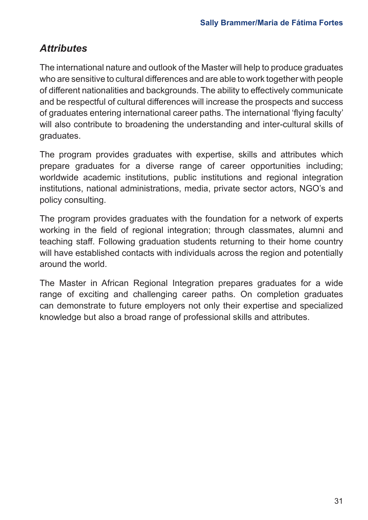### *Attributes*

The international nature and outlook of the Master will help to produce graduates who are sensitive to cultural differences and are able to work together with people of different nationalities and backgrounds. The ability to effectively communicate and be respectful of cultural differences will increase the prospects and success of graduates entering international career paths. The international 'flying faculty' will also contribute to broadening the understanding and inter-cultural skills of graduates.

The program provides graduates with expertise, skills and attributes which prepare graduates for a diverse range of career opportunities including; worldwide academic institutions, public institutions and regional integration institutions, national administrations, media, private sector actors, NGO's and policy consulting.

The program provides graduates with the foundation for a network of experts working in the field of regional integration; through classmates, alumni and teaching staff. Following graduation students returning to their home country will have established contacts with individuals across the region and potentially around the world.

The Master in African Regional Integration prepares graduates for a wide range of exciting and challenging career paths. On completion graduates can demonstrate to future employers not only their expertise and specialized knowledge but also a broad range of professional skills and attributes.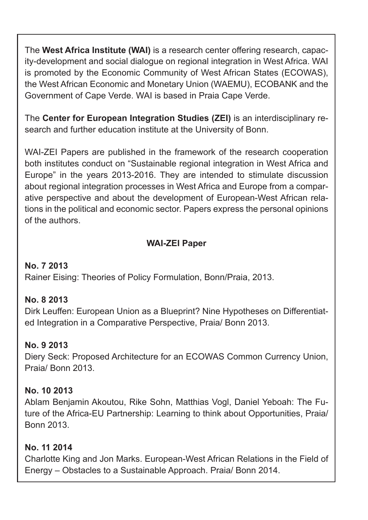The **West Africa Institute (WAI)** is a research center offering research, capacity-development and social dialogue on regional integration in West Africa. WAI is promoted by the Economic Community of West African States (ECOWAS), the West African Economic and Monetary Union (WAEMU), ECOBANK and the Government of Cape Verde. WAI is based in Praia Cape Verde.

The **Center for European Integration Studies (ZEI)** is an interdisciplinary research and further education institute at the University of Bonn.

WAI-ZEI Papers are published in the framework of the research cooperation both institutes conduct on "Sustainable regional integration in West Africa and Europe" in the years 2013-2016. They are intended to stimulate discussion about regional integration processes in West Africa and Europe from a comparative perspective and about the development of European-West African relations in the political and economic sector. Papers express the personal opinions of the authors.

#### **WAI-ZEI Paper**

#### **No. 7 2013**

Rainer Eising: Theories of Policy Formulation, Bonn/Praia, 2013.

#### **No. 8 2013**

Dirk Leuffen: European Union as a Blueprint? Nine Hypotheses on Differentiated Integration in a Comparative Perspective, Praia/ Bonn 2013.

#### **No. 9 2013**

Diery Seck: Proposed Architecture for an ECOWAS Common Currency Union, Praia/ Bonn 2013.

#### **No. 10 2013**

Ablam Benjamin Akoutou, Rike Sohn, Matthias Vogl, Daniel Yeboah: The Future of the Africa-EU Partnership: Learning to think about Opportunities, Praia/ Bonn 2013.

#### **No. 11 2014**

Charlotte King and Jon Marks. European-West African Relations in the Field of Energy – Obstacles to a Sustainable Approach. Praia/ Bonn 2014.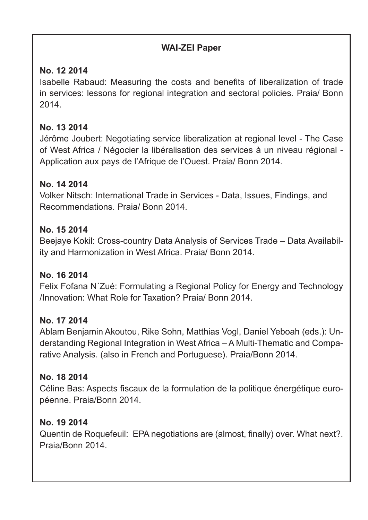#### **WAI-ZEI Paper**

#### **No. 12 2014**

Isabelle Rabaud: Measuring the costs and benefits of liberalization of trade in services: lessons for regional integration and sectoral policies. Praia/ Bonn 2014.

#### **No. 13 2014**

Jérôme Joubert: Negotiating service liberalization at regional level - The Case of West Africa / Négocier la libéralisation des services à un niveau régional - Application aux pays de l'Afrique de l'Ouest. Praia/ Bonn 2014.

#### **No. 14 2014**

Volker Nitsch: International Trade in Services - Data, Issues, Findings, and Recommendations. Praia/ Bonn 2014.

#### **No. 15 2014**

Beejaye Kokil: Cross-country Data Analysis of Services Trade – Data Availability and Harmonization in West Africa. Praia/ Bonn 2014.

#### **No. 16 2014**

Felix Fofana N´Zué: Formulating a Regional Policy for Energy and Technology /Innovation: What Role for Taxation? Praia/ Bonn 2014.

#### **No. 17 2014**

Ablam Benjamin Akoutou, Rike Sohn, Matthias Vogl, Daniel Yeboah (eds.): Understanding Regional Integration in West Africa – A Multi-Thematic and Comparative Analysis. (also in French and Portuguese). Praia/Bonn 2014.

#### **No. 18 2014**

Céline Bas: Aspects fiscaux de la formulation de la politique énergétique européenne. Praia/Bonn 2014.

#### **No. 19 2014**

Quentin de Roquefeuil: EPA negotiations are (almost, finally) over. What next?. Praia/Bonn 2014.